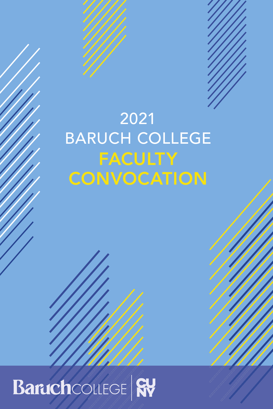

## 2021 BARUCH COLLEGE FACULTY **CONVOCATION**

## Baruchcollege Ry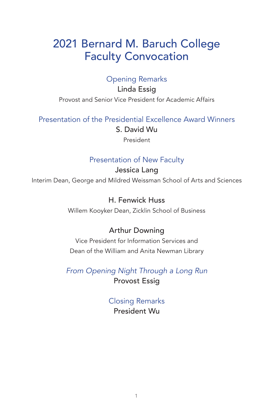## 2021 Bernard M. Baruch College Faculty Convocation

## Opening Remarks

Linda Essig Provost and Senior Vice President for Academic Affairs

Presentation of the Presidential Excellence Award Winners

S. David Wu

President

## Presentation of New Faculty

Jessica Lang Interim Dean, George and Mildred Weissman School of Arts and Sciences

> H. Fenwick Huss Willem Kooyker Dean, Zicklin School of Business

## Arthur Downing

Vice President for Information Services and Dean of the William and Anita Newman Library

*From Opening Night Through a Long Run* Provost Essig

> Closing Remarks President Wu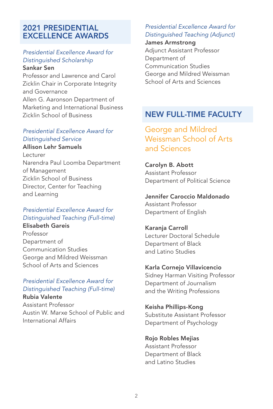#### 2021 PRESIDENTIAL EXCELLENCE AWARDS

## *Presidential Excellence Award for Distinguished Scholarship*

Sankar Sen

Professor and Lawrence and Carol Zicklin Chair in Corporate Integrity and Governance Allen G. Aaronson Department of Marketing and International Business Zicklin School of Business

#### *Presidential Excellence Award for Distinguished Service*

Allison Lehr Samuels Lecturer Narendra Paul Loomba Department of Management Zicklin School of Business Director, Center for Teaching and Learning

#### *Presidential Excellence Award for Distinguished Teaching (Full-time)*

Elisabeth Gareis Professor Department of Communication Studies George and Mildred Weissman School of Arts and Sciences

#### *Presidential Excellence Award for Distinguished Teaching (Full-time)* Rubia Valente

Assistant Professor Austin W. Marxe School of Public and International Affairs

#### *Presidential Excellence Award for Distinguished Teaching (Adjunct)*

James Armstrong Adjunct Assistant Professor Department of Communication Studies

George and Mildred Weissman School of Arts and Sciences

## NEW FULL-TIME FACULTY

## George and Mildred Weissman School of Arts and Sciences

Carolyn B. Abott Assistant Professor Department of Political Science

#### Jennifer Caroccio Maldonado Assistant Professor

Department of English

#### Karanja Carroll

Lecturer Doctoral Schedule Department of Black and Latino Studies

#### Karla Cornejo Villavicencio

Sidney Harman Visiting Professor Department of Journalism and the Writing Professions

#### Keisha Phillips-Kong

Substitute Assistant Professor Department of Psychology

#### Rojo Robles Mejias

Assistant Professor Department of Black and Latino Studies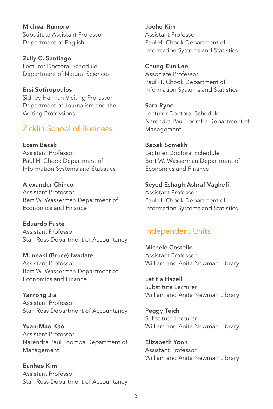Micheal Rumore Substitute Assistant Professor Department of English

Zully C. Santiago Lecturer Doctoral Schedule Department of Natural Sciences

Ersi Sotiropoulos Sidney Harman Visiting Professor Department of Journalism and the Writing Professions

## Zicklin School of Business

Ecem Basak Assistant Professor Paul H. Chook Department of Information Systems and Statistics

Alexander Chinco Assistant Professor Bert W. Wasserman Department of Economics and Finance

Eduardo Fuste Assistant Professor Stan Ross Department of Accountancy

Muneaki (Bruce) Iwadate Assistant Professor Bert W. Wasserman Department of Economics and Finance

Yanrong Jia Assistant Professor Stan Ross Department of Accountancy

Yuan-Mao Kao Assistant Professor Narendra Paul Loomba Department of Management

Eunhee Kim Assistant Professor Stan Ross Department of Accountancy Jooho Kim Assistant Professor Paul H. Chook Department of Information Systems and Statistics

Chung Eun Lee Associate Professor Paul H. Chook Department of Information Systems and Statistics

Sara Ryoo Lecturer Doctoral Schedule Narendra Paul Loomba Department of Management

Babak Somekh Lecturer Doctoral Schedule Bert W. Wasserman Department of Economics and Finance

Seyed Eshagh Ashraf Vaghefi Assistant Professor Paul H. Chook Department of Information Systems and Statistics

## Independent Units

Michele Costello Assistant Professor William and Anita Newman Library

Letitia Hazell Substitute Lecturer William and Anita Newman Library

Peggy Teich Substitute Lecturer William and Anita Newman Library

Elizabeth Yoon Assistant Professor William and Anita Newman Library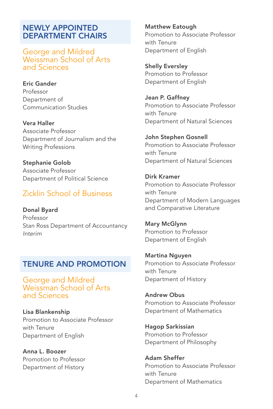#### NEWLY APPOINTED DEPARTMENT CHAIRS

George and Mildred Weissman School of Arts and Sciences

Eric Gander Professor Department of Communication Studies

Vera Haller Associate Professor Department of Journalism and the Writing Professions

Stephanie Golob Associate Professor Department of Political Science

## Zicklin School of Business

Donal Byard Professor Stan Ross Department of Accountancy *Interim*

## TENURE AND PROMOTION

George and Mildred Weissman School of Arts and Sciences

Lisa Blankenship Promotion to Associate Professor with Tenure Department of English

Anna L. Boozer Promotion to Professor Department of History

Matthew Eatough Promotion to Associate Professor with Tenure Department of English

Shelly Eversley Promotion to Professor Department of English

Jean P. Gaffney Promotion to Associate Professor with Tenure Department of Natural Sciences

John Stephen Gosnell Promotion to Associate Professor with Tenure Department of Natural Sciences

Dirk Kramer Promotion to Associate Professor with Tenure Department of Modern Languages and Comparative Literature

Mary McGlynn Promotion to Professor Department of English

Martina Nguyen Promotion to Associate Professor with Tenure Department of History

Andrew Obus Promotion to Associate Professor Department of Mathematics

Hagop Sarkissian Promotion to Professor Department of Philosophy

Adam Sheffer Promotion to Associate Professor with Tenure Department of Mathematics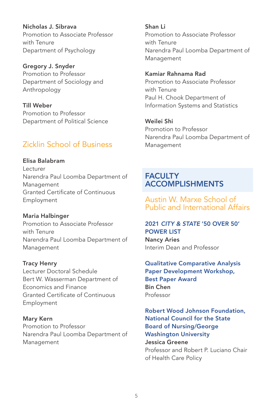Nicholas J. Sibrava Promotion to Associate Professor with Tenure Department of Psychology

Gregory J. Snyder Promotion to Professor Department of Sociology and Anthropology

Till Weber Promotion to Professor Department of Political Science

## Zicklin School of Business

Elisa Balabram Lecturer Narendra Paul Loomba Department of Management Granted Certificate of Continuous Employment

Maria Halbinger Promotion to Associate Professor with Tenure Narendra Paul Loomba Department of Management

Tracy Henry Lecturer Doctoral Schedule Bert W. Wasserman Department of Economics and Finance Granted Certificate of Continuous Employment

Mary Kern Promotion to Professor Narendra Paul Loomba Department of Management

Shan Li Promotion to Associate Professor with Tenure Narendra Paul Loomba Department of Management

Kamiar Rahnama Rad Promotion to Associate Professor with Tenure Paul H. Chook Department of Information Systems and Statistics

Weilei Shi Promotion to Professor Narendra Paul Loomba Department of Management

## **FACULTY** ACCOMPLISHMENTS

Austin W. Marxe School of Public and International Affairs

#### 2021 *CITY & STATE* '50 OVER 50' POWER LIST Nancy Aries

Interim Dean and Professor

Qualitative Comparative Analysis Paper Development Workshop, Best Paper Award Bin Chen Professor

Robert Wood Johnson Foundation, National Council for the State Board of Nursing/George Washington University Jessica Greene Professor and Robert P. Luciano Chair of Health Care Policy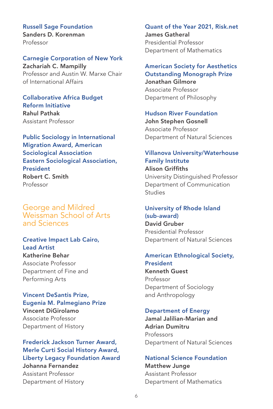Russell Sage Foundation Sanders D. Korenman Professor

#### Carnegie Corporation of New York

Zachariah C. Mampilly Professor and Austin W. Marxe Chair of International Affairs

Collaborative Africa Budget Reform Initiative Rahul Pathak Assistant Professor

Public Sociology in International Migration Award, American Sociological Association Eastern Sociological Association, President Robert C. Smith Professor

George and Mildred Weissman School of Arts and Sciences

#### Creative Impact Lab Cairo, Lead Artist Katherine Behar

Associate Professor Department of Fine and Performing Arts

Vincent DeSantis Prize, Eugenia M. Palmegiano Prize Vincent DiGirolamo Associate Professor Department of History

Frederick Jackson Turner Award, Merle Curti Social History Award, Liberty Legacy Foundation Award Johanna Fernandez Assistant Professor Department of History

#### Quant of the Year 2021, Risk.net James Gatheral Presidential Professor Department of Mathematics

#### American Society for Aesthetics

Outstanding Monograph Prize Jonathan Gilmore Associate Professor Department of Philosophy

#### Hudson River Foundation

John Stephen Gosnell Associate Professor Department of Natural Sciences

#### Villanova University/Waterhouse Family Institute Alison Griffiths University Distinguished Professor

Department of Communication Studies

## University of Rhode Island

(sub-award) David Gruber Presidential Professor Department of Natural Sciences

#### American Ethnological Society,

President Kenneth Guest Professor Department of Sociology and Anthropology

#### Department of Energy

Jamal Jalilian-Marian and Adrian Dumitru Professors Department of Natural Sciences

#### National Science Foundation

Matthew Junge Assistant Professor Department of Mathematics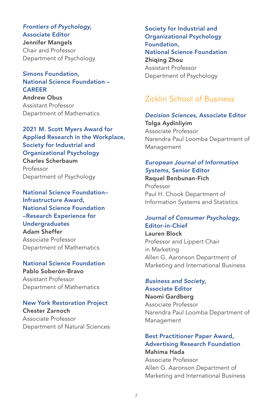#### *Frontiers of Psychology,*  Associate Editor Jennifer Mangels Chair and Professor Department of Psychology

#### Simons Foundation, National Science Foundation – **CAREER**

Andrew Obus Assistant Professor Department of Mathematics

2021 M. Scott Myers Award for Applied Research in the Workplace, Society for Industrial and Organizational Psychology Charles Scherbaum Professor Department of Psychology

National Science Foundation– Infrastructure Award, National Science Foundation –Research Experience for Undergraduates Adam Sheffer Associate Professor Department of Mathematics

## National Science Foundation Pablo Soberón-Bravo Assistant Professor

Department of Mathematics

#### New York Restoration Project

Chester Zarnoch Associate Professor Department of Natural Sciences

Society for Industrial and Organizational Psychology Foundation, National Science Foundation Zhiaina Zhou Assistant Professor Department of Psychology

## Zicklin School of Business

## *Decision Sciences,* Associate Editor

Tolga Aydinliyim Associate Professor Narendra Paul Loomba Department of Management

#### *European Journal of Information Systems,* Senior Editor

Raquel Benbunan-Fich Professor Paul H. Chook Department of Information Systems and Statistics

#### *Journal of Consumer Psychology,* Editor-in-Chief

Lauren Block Professor and Lippert Chair in Marketing Allen G. Aaronson Department of Marketing and International Business

*Business and Society,* Associate Editor

Naomi Gardberg Associate Professor Narendra Paul Loomba Department of Management

#### Best Practitioner Paper Award, Advertising Research Foundation Mahima Hada

Associate Professor Allen G. Aaronson Department of Marketing and International Business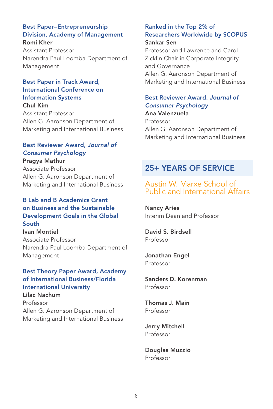#### Best Paper–Entrepreneurship Division, Academy of Management Romi Kher

Assistant Professor Narendra Paul Loomba Department of Management

#### Best Paper in Track Award, International Conference on Information Systems

Chul Kim Assistant Professor Allen G. Aaronson Department of Marketing and International Business

#### Best Reviewer Award, *Journal of Consumer Psychology*

Pragya Mathur Associate Professor Allen G. Aaronson Department of Marketing and International Business

#### B Lab and B Academics Grant on Business and the Sustainable Development Goals in the Global South

Ivan Montiel Associate Professor Narendra Paul Loomba Department of Management

#### Best Theory Paper Award, Academy of International Business/Florida International University Lilac Nachum

Professor Allen G. Aaronson Department of Marketing and International Business

#### Ranked in the Top 2% of Researchers Worldwide by SCOPUS Sankar Sen

Professor and Lawrence and Carol Zicklin Chair in Corporate Integrity and Governance Allen G. Aaronson Department of Marketing and International Business

#### Best Reviewer Award, *Journal of Consumer Psychology*

Ana Valenzuela Professor Allen G. Aaronson Department of Marketing and International Business

## 25+ YEARS OF SERVICE

#### Austin W. Marxe School of Public and International Affairs

Nancy Aries Interim Dean and Professor

David S. Birdsell Professor

Jonathan Engel Professor

Sanders D. Korenman Professor

Thomas J. Main Professor

Jerry Mitchell Professor

Douglas Muzzio Professor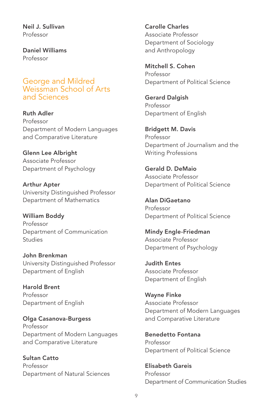Neil J. Sullivan Professor

Daniel Williams Professor

George and Mildred Weissman School of Arts and Sciences

Ruth Adler Professor Department of Modern Languages and Comparative Literature

Glenn Lee Albright Associate Professor Department of Psychology

Arthur Apter University Distinguished Professor Department of Mathematics

William Boddy Professor Department of Communication Studies

John Brenkman University Distinguished Professor Department of English

Harold Brent Professor Department of English

Olga Casanova-Burgess Professor Department of Modern Languages and Comparative Literature

Sultan Catto Professor Department of Natural Sciences Carolle Charles Associate Professor Department of Sociology and Anthropology

Mitchell S. Cohen Professor Department of Political Science

Gerard Dalgish Professor Department of English

Bridgett M. Davis Professor Department of Journalism and the Writing Professions

Gerald D. DeMaio Associate Professor Department of Political Science

Alan DiGaetano Professor Department of Political Science

Mindy Engle-Friedman Associate Professor Department of Psychology

Judith Entes Associate Professor Department of English

Wayne Finke Associate Professor Department of Modern Languages and Comparative Literature

Benedetto Fontana Professor Department of Political Science

Elisabeth Gareis Professor Department of Communication Studies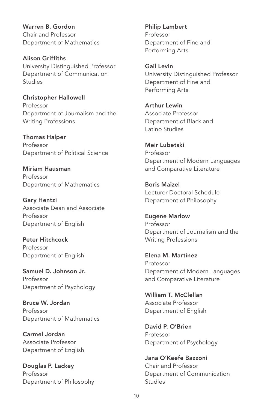Warren B. Gordon Chair and Professor Department of Mathematics

Alison Griffiths University Distinguished Professor Department of Communication Studies

Christopher Hallowell Professor Department of Journalism and the Writing Professions

Thomas Halper Professor Department of Political Science

Miriam Hausman Professor Department of Mathematics

Gary Hentzi Associate Dean and Associate Professor Department of English

Peter Hitchcock Professor Department of English

Samuel D. Johnson Jr. Professor Department of Psychology

Bruce W. Jordan Professor Department of Mathematics

Carmel Jordan Associate Professor Department of English

Douglas P. Lackey Professor Department of Philosophy Philip Lambert Professor Department of Fine and Performing Arts

Gail Levin University Distinguished Professor Department of Fine and Performing Arts

Arthur Lewin Associate Professor Department of Black and Latino Studies

Meir Lubetski Professor Department of Modern Languages and Comparative Literature

Boris Maizel Lecturer Doctoral Schedule Department of Philosophy

Eugene Marlow Professor Department of Journalism and the Writing Professions

Elena M. Martínez Professor Department of Modern Languages and Comparative Literature

William T. McClellan Associate Professor Department of English

David P. O'Brien Professor Department of Psychology

Jana O'Keefe Bazzoni Chair and Professor Department of Communication Studies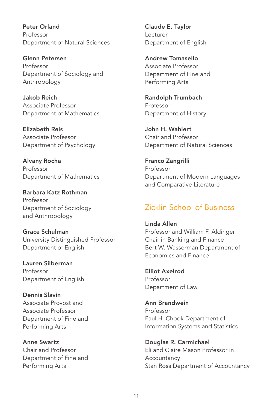Peter Orland Professor Department of Natural Sciences

Glenn Petersen Professor Department of Sociology and Anthropology

Jakob Reich Associate Professor Department of Mathematics

Elizabeth Reis Associate Professor Department of Psychology

Alvany Rocha Professor Department of Mathematics

Barbara Katz Rothman Professor Department of Sociology and Anthropology

Grace Schulman University Distinguished Professor Department of English

Lauren Silberman Professor Department of English

Dennis Slavin Associate Provost and Associate Professor Department of Fine and Performing Arts

Anne Swartz Chair and Professor Department of Fine and Performing Arts

Claude E. Taylor Lecturer Department of English

Andrew Tomasello Associate Professor Department of Fine and Performing Arts

Randolph Trumbach Professor Department of History

John H. Wahlert Chair and Professor Department of Natural Sciences

Franco Zangrilli Professor Department of Modern Languages and Comparative Literature

## Zicklin School of Business

Linda Allen Professor and William F. Aldinger Chair in Banking and Finance Bert W. Wasserman Department of Economics and Finance

Elliot Axelrod Professor Department of Law

Ann Brandwein Professor Paul H. Chook Department of Information Systems and Statistics

Douglas R. Carmichael Eli and Claire Mason Professor in **Accountancy** Stan Ross Department of Accountancy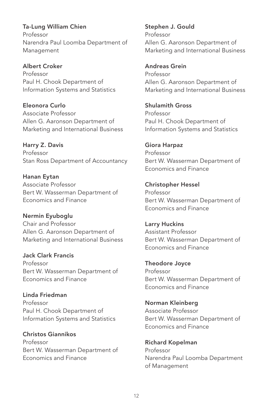Ta-Lung William Chien Professor Narendra Paul Loomba Department of Management

Albert Croker Professor Paul H. Chook Department of Information Systems and Statistics

Eleonora Curlo Associate Professor Allen G. Aaronson Department of Marketing and International Business

Harry Z. Davis Professor Stan Ross Department of Accountancy

Hanan Eytan Associate Professor Bert W. Wasserman Department of Economics and Finance

Nermin Eyuboglu Chair and Professor Allen G. Aaronson Department of Marketing and International Business

Jack Clark Francis Professor Bert W. Wasserman Department of Economics and Finance

Linda Friedman Professor Paul H. Chook Department of Information Systems and Statistics

Christos Giannikos Professor Bert W. Wasserman Department of Economics and Finance

Stephen J. Gould Professor Allen G. Aaronson Department of Marketing and International Business

Andreas Grein

Professor Allen G. Aaronson Department of Marketing and International Business

Shulamith Gross Professor Paul H. Chook Department of Information Systems and Statistics

Giora Harpaz Professor Bert W. Wasserman Department of Economics and Finance

Christopher Hessel Professor Bert W. Wasserman Department of Economics and Finance

Larry Huckins Assistant Professor Bert W. Wasserman Department of Economics and Finance

Theodore Joyce Professor Bert W. Wasserman Department of Economics and Finance

Norman Kleinberg Associate Professor Bert W. Wasserman Department of Economics and Finance

Richard Kopelman Professor Narendra Paul Loomba Department of Management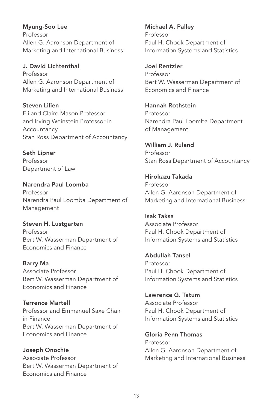Myung-Soo Lee Professor Allen G. Aaronson Department of Marketing and International Business

J. David Lichtenthal Professor Allen G. Aaronson Department of Marketing and International Business

Steven Lilien Eli and Claire Mason Professor and Irving Weinstein Professor in Accountancy Stan Ross Department of Accountancy

Seth Lipner Professor Department of Law

Narendra Paul Loomba Professor Narendra Paul Loomba Department of Management

Steven H. Lustgarten Professor Bert W. Wasserman Department of Economics and Finance

Barry Ma Associate Professor Bert W. Wasserman Department of Economics and Finance

Terrence Martell Professor and Emmanuel Saxe Chair in Finance Bert W. Wasserman Department of Economics and Finance

Joseph Onochie Associate Professor Bert W. Wasserman Department of Economics and Finance

Michael A. Palley Professor Paul H. Chook Department of Information Systems and Statistics

Joel Rentzler Professor Bert W. Wasserman Department of Economics and Finance

Hannah Rothstein Professor Narendra Paul Loomba Department of Management

William J. Ruland Professor Stan Ross Department of Accountancy

Hirokazu Takada Professor Allen G. Aaronson Department of Marketing and International Business

Isak Taksa Associate Professor Paul H. Chook Department of Information Systems and Statistics

Abdullah Tansel Professor Paul H. Chook Department of Information Systems and Statistics

Lawrence G. Tatum Associate Professor Paul H. Chook Department of Information Systems and Statistics

Gloria Penn Thomas Professor Allen G. Aaronson Department of Marketing and International Business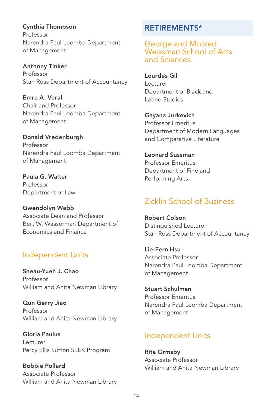Cynthia Thompson Professor Narendra Paul Loomba Department of Management

Anthony Tinker Professor Stan Ross Department of Accountancy

Emre A. Veral Chair and Professor Narendra Paul Loomba Department of Management

Donald Vredenburgh Professor Narendra Paul Loomba Department of Management

Paula G. Walter Professor Department of Law

Gwendolyn Webb Associate Dean and Professor Bert W. Wasserman Department of Economics and Finance

## Independent Units

Sheau-Yueh J. Chao Professor William and Anita Newman Library

Qun Gerry Jiao Professor William and Anita Newman Library

Gloria Paulus Lecturer Percy Ellis Sutton SEEK Program

Bobbie Pollard Associate Professor William and Anita Newman Library

## RETIREMENTS\*

George and Mildred Weissman School of Arts and Sciences

Lourdes Gil Lecturer Department of Black and Latino Studies

Gayana Jurkevich Professor Emeritus Department of Modern Languages and Comparative Literature

Leonard Sussman Professor Emeritus Department of Fine and Performing Arts

## Zicklin School of Business

Robert Colson Distinguished Lecturer Stan Ross Department of Accountancy

Lie-Fern Hsu Associate Professor Narendra Paul Loomba Department of Management

Stuart Schulman Professor Emeritus Narendra Paul Loomba Department of Management

## Independent Units

Rita Ormsby Associate Professor William and Anita Newman Library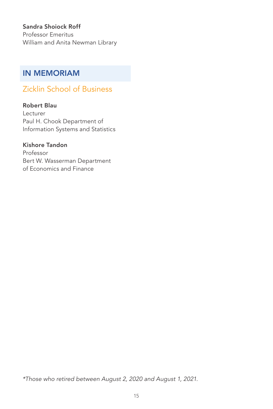#### Sandra Shoiock Roff

Professor Emeritus William and Anita Newman Library

## IN MEMORIAM

## Zicklin School of Business

#### Robert Blau

Lecturer Paul H. Chook Department of Information Systems and Statistics

#### Kishore Tandon

Professor Bert W. Wasserman Department of Economics and Finance

*\*Those who retired between August 2, 2020 and August 1, 2021.*